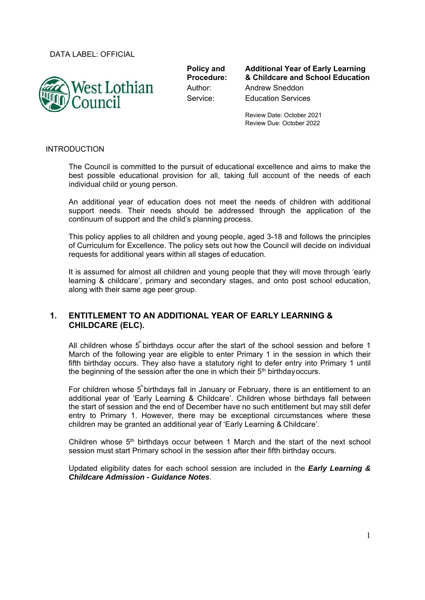DATA LABEL: OFFICIAL



**Policy and Procedure:** 

**Additional Year of Early Learning & Childcare and School Education**  Author: Andrew Sneddon Service: Education Services

> Review Date: October 2021 Review Due: October 2022

#### INTRODUCTION

The Council is committed to the pursuit of educational excellence and aims to make the best possible educational provision for all, taking full account of the needs of each individual child or young person.

An additional year of education does not meet the needs of children with additional support needs. Their needs should be addressed through the application of the continuum of support and the child's planning process.

This policy applies to all children and young people, aged 3-18 and follows the principles of Curriculum for Excellence. The policy sets out how the Council will decide on individual requests for additional years within all stages of education.

It is assumed for almost all children and young people that they will move through 'early learning & childcare', primary and secondary stages, and onto post school education, along with their same age peer group.

## **1. ENTITLEMENT TO AN ADDITIONAL YEAR OF EARLY LEARNING & CHILDCARE (ELC).**

All children whose  $5$  birthdays occur after the start of the school session and before 1 March of the following year are eligible to enter Primary 1 in the session in which their fifth birthday occurs. They also have a statutory right to defer entry into Primary 1 until the beginning of the session after the one in which their  $5<sup>th</sup>$  birthday occurs.

For children whose  $5$ <sup>"</sup>birthdays fall in January or February, there is an entitlement to an additional year of 'Early Learning & Childcare'. Children whose birthdays fall between the start of session and the end of December have no such entitlement but may still defer entry to Primary 1. However, there may be exceptional circumstances where these children may be granted an additional year of 'Early Learning & Childcare'.

Children whose  $5<sup>th</sup>$  birthdays occur between 1 March and the start of the next school session must start Primary school in the session after their fifth birthday occurs.

Updated eligibility dates for each school session are included in the *Early Learning & Childcare Admission - Guidance Notes*.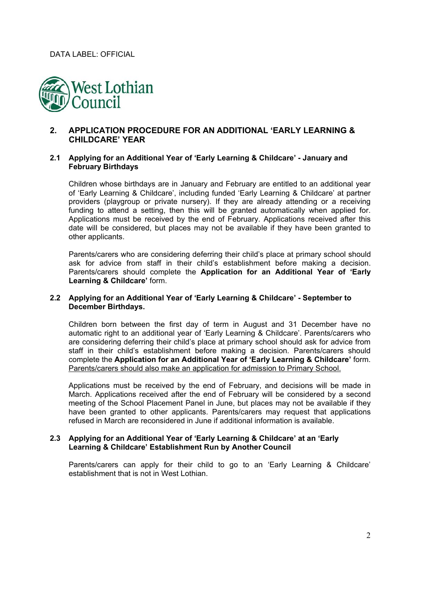

# **2. APPLICATION PROCEDURE FOR AN ADDITIONAL 'EARLY LEARNING & CHILDCARE' YEAR**

### **2.1 Applying for an Additional Year of 'Early Learning & Childcare' - January and February Birthdays**

Children whose birthdays are in January and February are entitled to an additional year of 'Early Learning & Childcare', including funded 'Early Learning & Childcare' at partner providers (playgroup or private nursery). If they are already attending or a receiving funding to attend a setting, then this will be granted automatically when applied for. Applications must be received by the end of February. Applications received after this date will be considered, but places may not be available if they have been granted to other applicants.

Parents/carers who are considering deferring their child's place at primary school should ask for advice from staff in their child's establishment before making a decision. Parents/carers should complete the **Application for an Additional Year of 'Early Learning & Childcare'** form.

#### **2.2 Applying for an Additional Year of 'Early Learning & Childcare' - September to December Birthdays.**

Children born between the first day of term in August and 31 December have no automatic right to an additional year of 'Early Learning & Childcare'. Parents/carers who are considering deferring their child's place at primary school should ask for advice from staff in their child's establishment before making a decision. Parents/carers should complete the **Application for an Additional Year of 'Early Learning & Childcare'** form. Parents/carers should also make an application for admission to Primary School.

Applications must be received by the end of February, and decisions will be made in March. Applications received after the end of February will be considered by a second meeting of the School Placement Panel in June, but places may not be available if they have been granted to other applicants. Parents/carers may request that applications refused in March are reconsidered in June if additional information is available.

#### **2.3 Applying for an Additional Year of 'Early Learning & Childcare' at an 'Early Learning & Childcare' Establishment Run by Another Council**

Parents/carers can apply for their child to go to an 'Early Learning & Childcare' establishment that is not in West Lothian.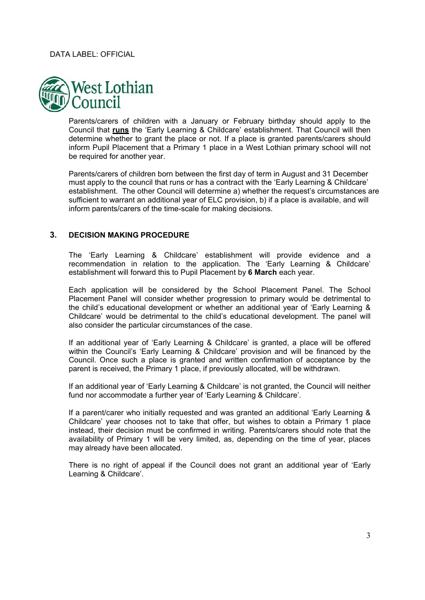

Parents/carers of children with a January or February birthday should apply to the Council that **runs** the 'Early Learning & Childcare' establishment. That Council will then determine whether to grant the place or not. If a place is granted parents/carers should inform Pupil Placement that a Primary 1 place in a West Lothian primary school will not be required for another year.

Parents/carers of children born between the first day of term in August and 31 December must apply to the council that runs or has a contract with the 'Early Learning & Childcare' establishment. The other Council will determine a) whether the request's circumstances are sufficient to warrant an additional year of ELC provision, b) if a place is available, and will inform parents/carers of the time-scale for making decisions.

### **3. DECISION MAKING PROCEDURE**

The 'Early Learning & Childcare' establishment will provide evidence and a recommendation in relation to the application. The 'Early Learning & Childcare' establishment will forward this to Pupil Placement by **6 March** each year.

Each application will be considered by the School Placement Panel. The School Placement Panel will consider whether progression to primary would be detrimental to the child's educational development or whether an additional year of 'Early Learning & Childcare' would be detrimental to the child's educational development. The panel will also consider the particular circumstances of the case.

If an additional year of 'Early Learning & Childcare' is granted, a place will be offered within the Council's 'Early Learning & Childcare' provision and will be financed by the Council. Once such a place is granted and written confirmation of acceptance by the parent is received, the Primary 1 place, if previously allocated, will be withdrawn.

If an additional year of 'Early Learning & Childcare' is not granted, the Council will neither fund nor accommodate a further year of 'Early Learning & Childcare'.

If a parent/carer who initially requested and was granted an additional 'Early Learning & Childcare' year chooses not to take that offer, but wishes to obtain a Primary 1 place instead, their decision must be confirmed in writing. Parents/carers should note that the availability of Primary 1 will be very limited, as, depending on the time of year, places may already have been allocated.

There is no right of appeal if the Council does not grant an additional year of 'Early Learning & Childcare'.